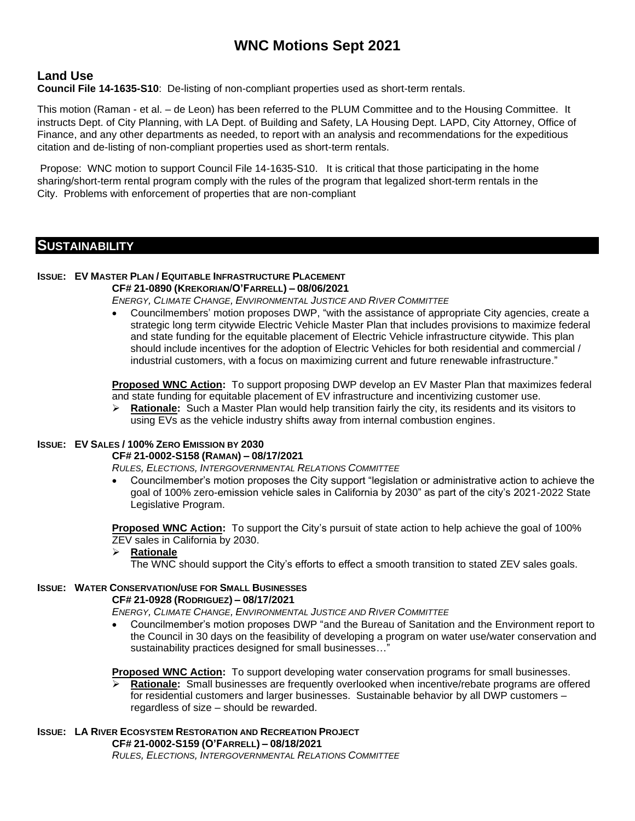# **WNC Motions Sept 2021**

# **Land Use**

**Council File 14-1635-S10**: De-listing of non-compliant properties used as short-term rentals.

This motion (Raman - et al. – de Leon) has been referred to the PLUM Committee and to the Housing Committee. It instructs Dept. of City Planning, with LA Dept. of Building and Safety, LA Housing Dept. LAPD, City Attorney, Office of Finance, and any other departments as needed, to report with an analysis and recommendations for the expeditious citation and de-listing of non-compliant properties used as short-term rentals.

Propose: WNC motion to support Council File 14-1635-S10. It is critical that those participating in the home sharing/short-term rental program comply with the rules of the program that legalized short-term rentals in the City. Problems with enforcement of properties that are non-compliant

## **SUSTAINABILITY**

# **ISSUE: EV MASTER PLAN / EQUITABLE INFRASTRUCTURE PLACEMENT**

**CF# 21-0890 (KREKORIAN/O'FARRELL) – 08/06/2021**

*ENERGY, CLIMATE CHANGE, ENVIRONMENTAL JUSTICE AND RIVER COMMITTEE*

• Councilmembers' motion proposes DWP, "with the assistance of appropriate City agencies, create a strategic long term citywide Electric Vehicle Master Plan that includes provisions to maximize federal and state funding for the equitable placement of Electric Vehicle infrastructure citywide. This plan should include incentives for the adoption of Electric Vehicles for both residential and commercial / industrial customers, with a focus on maximizing current and future renewable infrastructure."

**Proposed WNC Action:** To support proposing DWP develop an EV Master Plan that maximizes federal and state funding for equitable placement of EV infrastructure and incentivizing customer use.

➢ **Rationale:** Such a Master Plan would help transition fairly the city, its residents and its visitors to using EVs as the vehicle industry shifts away from internal combustion engines.

## **ISSUE: EV SALES / 100% ZERO EMISSION BY 2030**

## **CF# 21-0002-S158 (RAMAN) – 08/17/2021**

*RULES, ELECTIONS, INTERGOVERNMENTAL RELATIONS COMMITTEE*

• Councilmember's motion proposes the City support "legislation or administrative action to achieve the goal of 100% zero-emission vehicle sales in California by 2030" as part of the city's 2021-2022 State Legislative Program.

**Proposed WNC Action:** To support the City's pursuit of state action to help achieve the goal of 100% ZEV sales in California by 2030.

#### ➢ **Rationale**

The WNC should support the City's efforts to effect a smooth transition to stated ZEV sales goals.

#### **ISSUE: WATER CONSERVATION/USE FOR SMALL BUSINESSES**

#### **CF# 21-0928 (RODRIGUEZ) – 08/17/2021**

*ENERGY, CLIMATE CHANGE, ENVIRONMENTAL JUSTICE AND RIVER COMMITTEE*

• Councilmember's motion proposes DWP "and the Bureau of Sanitation and the Environment report to the Council in 30 days on the feasibility of developing a program on water use/water conservation and sustainability practices designed for small businesses…"

**Proposed WNC Action:** To support developing water conservation programs for small businesses.

➢ **Rationale:** Small businesses are frequently overlooked when incentive/rebate programs are offered for residential customers and larger businesses. Sustainable behavior by all DWP customers – regardless of size – should be rewarded.

## **ISSUE: LA RIVER ECOSYSTEM RESTORATION AND RECREATION PROJECT**

**CF# 21-0002-S159 (O'FARRELL) – 08/18/2021**

*RULES, ELECTIONS, INTERGOVERNMENTAL RELATIONS COMMITTEE*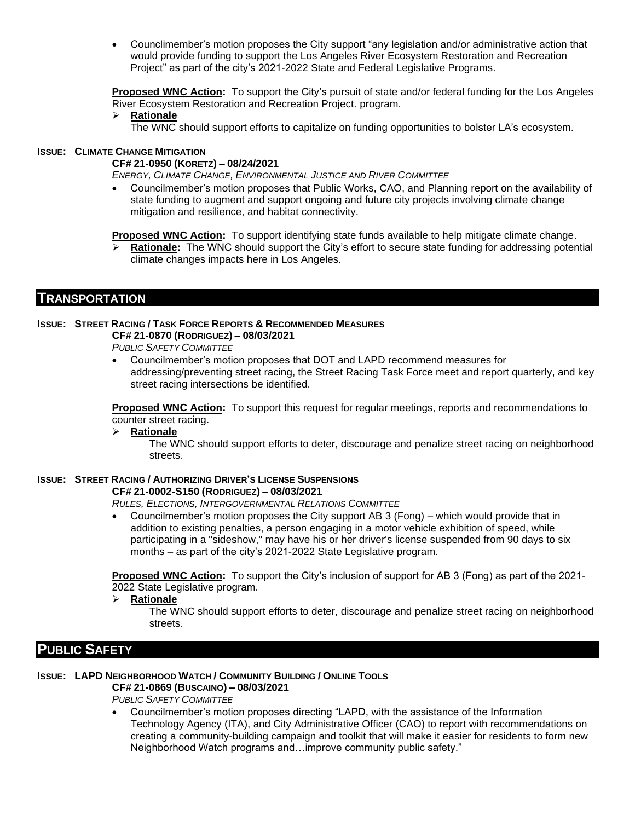• Counclimember's motion proposes the City support "any legislation and/or administrative action that would provide funding to support the Los Angeles River Ecosystem Restoration and Recreation Project" as part of the city's 2021-2022 State and Federal Legislative Programs.

**Proposed WNC Action:** To support the City's pursuit of state and/or federal funding for the Los Angeles River Ecosystem Restoration and Recreation Project. program.

➢ **Rationale**

The WNC should support efforts to capitalize on funding opportunities to bolster LA's ecosystem.

#### **ISSUE: CLIMATE CHANGE MITIGATION**

#### **CF# 21-0950 (KORETZ) – 08/24/2021**

*ENERGY, CLIMATE CHANGE, ENVIRONMENTAL JUSTICE AND RIVER COMMITTEE*

• Councilmember's motion proposes that Public Works, CAO, and Planning report on the availability of state funding to augment and support ongoing and future city projects involving climate change mitigation and resilience, and habitat connectivity.

**Proposed WNC Action:** To support identifying state funds available to help mitigate climate change.

Rationale: The WNC should support the City's effort to secure state funding for addressing potential climate changes impacts here in Los Angeles.

## **TRANSPORTATION**

#### **ISSUE: STREET RACING / TASK FORCE REPORTS & RECOMMENDED MEASURES CF# 21-0870 (RODRIGUEZ) – 08/03/2021**

*PUBLIC SAFETY COMMITTEE*

• Councilmember's motion proposes that DOT and LAPD recommend measures for addressing/preventing street racing, the Street Racing Task Force meet and report quarterly, and key street racing intersections be identified.

**Proposed WNC Action:** To support this request for regular meetings, reports and recommendations to counter street racing.

#### ➢ **Rationale**

The WNC should support efforts to deter, discourage and penalize street racing on neighborhood streets.

## **ISSUE: STREET RACING / AUTHORIZING DRIVER'S LICENSE SUSPENSIONS**

**CF# 21-0002-S150 (RODRIGUEZ) – 08/03/2021**

*RULES, ELECTIONS, INTERGOVERNMENTAL RELATIONS COMMITTEE*

• Councilmember's motion proposes the City support AB 3 (Fong) – which would provide that in addition to existing penalties, a person engaging in a motor vehicle exhibition of speed, while participating in a "sideshow," may have his or her driver's license suspended from 90 days to six months – as part of the city's 2021-2022 State Legislative program.

**Proposed WNC Action:** To support the City's inclusion of support for AB 3 (Fong) as part of the 2021- 2022 State Legislative program.

➢ **Rationale**

The WNC should support efforts to deter, discourage and penalize street racing on neighborhood streets.

# **PUBLIC SAFETY**

#### **ISSUE: LAPD NEIGHBORHOOD WATCH / COMMUNITY BUILDING / ONLINE TOOLS CF# 21-0869 (BUSCAINO) – 08/03/2021**

*PUBLIC SAFETY COMMITTEE*

• Councilmember's motion proposes directing "LAPD, with the assistance of the Information Technology Agency (ITA), and City Administrative Officer (CAO) to report with recommendations on creating a community-building campaign and toolkit that will make it easier for residents to form new Neighborhood Watch programs and…improve community public safety."